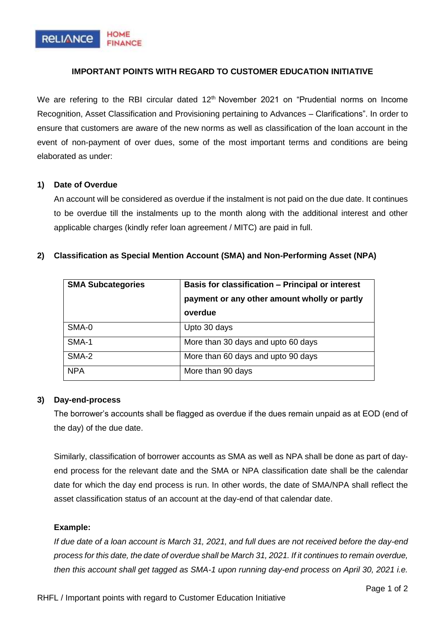

# **IMPORTANT POINTS WITH REGARD TO CUSTOMER EDUCATION INITIATIVE**

We are refering to the RBI circular dated  $12<sup>th</sup>$  November 2021 on "Prudential norms on Income Recognition, Asset Classification and Provisioning pertaining to Advances – Clarifications". In order to ensure that customers are aware of the new norms as well as classification of the loan account in the event of non-payment of over dues, some of the most important terms and conditions are being elaborated as under:

## **1) Date of Overdue**

An account will be considered as overdue if the instalment is not paid on the due date. It continues to be overdue till the instalments up to the month along with the additional interest and other applicable charges (kindly refer loan agreement / MITC) are paid in full.

| <b>SMA Subcategories</b> | <b>Basis for classification - Principal or interest</b> |
|--------------------------|---------------------------------------------------------|
|                          | payment or any other amount wholly or partly            |
|                          | overdue                                                 |
| SMA-0                    | Upto 30 days                                            |
| SMA-1                    | More than 30 days and upto 60 days                      |
| SMA-2                    | More than 60 days and upto 90 days                      |
| <b>NPA</b>               | More than 90 days                                       |

#### **2) Classification as Special Mention Account (SMA) and Non-Performing Asset (NPA)**

## **3) Day-end-process**

The borrower's accounts shall be flagged as overdue if the dues remain unpaid as at EOD (end of the day) of the due date.

Similarly, classification of borrower accounts as SMA as well as NPA shall be done as part of dayend process for the relevant date and the SMA or NPA classification date shall be the calendar date for which the day end process is run. In other words, the date of SMA/NPA shall reflect the asset classification status of an account at the day-end of that calendar date.

## **Example:**

*If due date of a loan account is March 31, 2021, and full dues are not received before the day-end process for this date, the date of overdue shall be March 31, 2021. If it continues to remain overdue, then this account shall get tagged as SMA-1 upon running day-end process on April 30, 2021 i.e.*